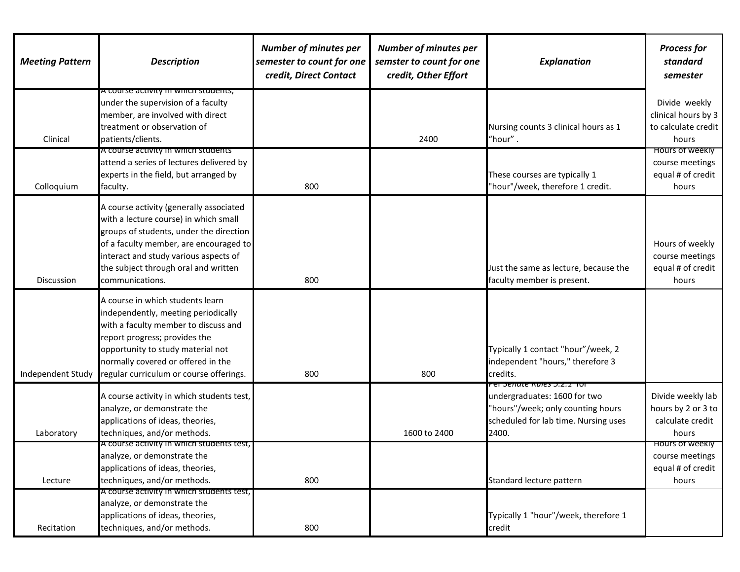| <b>Meeting Pattern</b> | <b>Description</b>                                                                                                                                                                                                                                                        | <b>Number of minutes per</b><br>semester to count for one<br>credit, Direct Contact | <b>Number of minutes per</b><br>semster to count for one<br>credit, Other Effort | <b>Explanation</b>                                                                                                                                       | <b>Process for</b><br>standard<br>semester                              |
|------------------------|---------------------------------------------------------------------------------------------------------------------------------------------------------------------------------------------------------------------------------------------------------------------------|-------------------------------------------------------------------------------------|----------------------------------------------------------------------------------|----------------------------------------------------------------------------------------------------------------------------------------------------------|-------------------------------------------------------------------------|
| Clinical               | A course activity in which students,<br>under the supervision of a faculty<br>member, are involved with direct<br>treatment or observation of<br>patients/clients.                                                                                                        |                                                                                     | 2400                                                                             | Nursing counts 3 clinical hours as 1<br>"hour".                                                                                                          | Divide weekly<br>clinical hours by 3<br>to calculate credit<br>hours    |
| Colloquium             | A course activity in which students<br>attend a series of lectures delivered by<br>experts in the field, but arranged by<br>faculty.                                                                                                                                      | 800                                                                                 |                                                                                  | These courses are typically 1<br>"hour"/week, therefore 1 credit.                                                                                        | <b>HOULE OF WEEKIY</b><br>course meetings<br>equal # of credit<br>hours |
| Discussion             | A course activity (generally associated<br>with a lecture course) in which small<br>groups of students, under the direction<br>of a faculty member, are encouraged to<br>interact and study various aspects of<br>the subject through oral and written<br>communications. | 800                                                                                 |                                                                                  | Just the same as lecture, because the<br>faculty member is present.                                                                                      | Hours of weekly<br>course meetings<br>equal # of credit<br>hours        |
| Independent Study      | A course in which students learn<br>independently, meeting periodically<br>with a faculty member to discuss and<br>report progress; provides the<br>opportunity to study material not<br>normally covered or offered in the<br>regular curriculum or course offerings.    | 800                                                                                 | 800                                                                              | Typically 1 contact "hour"/week, 2<br>independent "hours," therefore 3<br>credits.                                                                       |                                                                         |
| Laboratory             | A course activity in which students test,<br>analyze, or demonstrate the<br>applications of ideas, theories,<br>techniques, and/or methods.                                                                                                                               |                                                                                     | 1600 to 2400                                                                     | וטו 2.1. <i>ב.</i> כ nules איזוזאכ<br>undergraduates: 1600 for two<br>"hours"/week; only counting hours<br>scheduled for lab time. Nursing uses<br>2400. | Divide weekly lab<br>hours by 2 or 3 to<br>calculate credit<br>hours    |
| Lecture                | A course activity in which students test,<br>analyze, or demonstrate the<br>applications of ideas, theories,<br>techniques, and/or methods.                                                                                                                               | 800                                                                                 |                                                                                  | Standard lecture pattern                                                                                                                                 | <b>HOULS OF WEEKIY</b><br>course meetings<br>equal # of credit<br>hours |
| Recitation             | A course activity in which students test,<br>analyze, or demonstrate the<br>applications of ideas, theories,<br>techniques, and/or methods.                                                                                                                               | 800                                                                                 |                                                                                  | Typically 1 "hour"/week, therefore 1<br>credit                                                                                                           |                                                                         |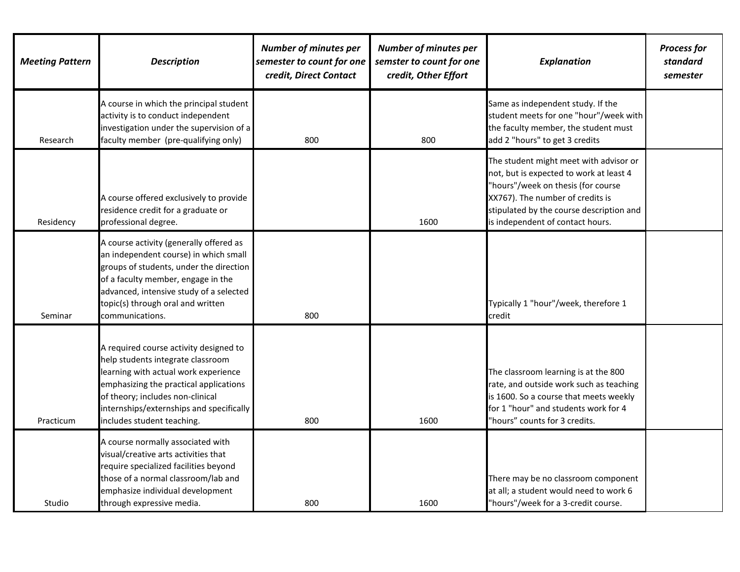| <b>Meeting Pattern</b> | <b>Description</b>                                                                                                                                                                                                                                                          | <b>Number of minutes per</b><br>semester to count for one<br>credit, Direct Contact | <b>Number of minutes per</b><br>semster to count for one<br>credit, Other Effort | <b>Explanation</b>                                                                                                                                                                                                                          | <b>Process for</b><br>standard<br>semester |
|------------------------|-----------------------------------------------------------------------------------------------------------------------------------------------------------------------------------------------------------------------------------------------------------------------------|-------------------------------------------------------------------------------------|----------------------------------------------------------------------------------|---------------------------------------------------------------------------------------------------------------------------------------------------------------------------------------------------------------------------------------------|--------------------------------------------|
| Research               | A course in which the principal student<br>activity is to conduct independent<br>investigation under the supervision of a<br>faculty member (pre-qualifying only)                                                                                                           | 800                                                                                 | 800                                                                              | Same as independent study. If the<br>student meets for one "hour"/week with<br>the faculty member, the student must<br>add 2 "hours" to get 3 credits                                                                                       |                                            |
| Residency              | A course offered exclusively to provide<br>residence credit for a graduate or<br>professional degree.                                                                                                                                                                       |                                                                                     | 1600                                                                             | The student might meet with advisor or<br>not, but is expected to work at least 4<br>"hours"/week on thesis (for course<br>XX767). The number of credits is<br>stipulated by the course description and<br>is independent of contact hours. |                                            |
| Seminar                | A course activity (generally offered as<br>an independent course) in which small<br>groups of students, under the direction<br>of a faculty member, engage in the<br>advanced, intensive study of a selected<br>topic(s) through oral and written<br>communications.        | 800                                                                                 |                                                                                  | Typically 1 "hour"/week, therefore 1<br>credit                                                                                                                                                                                              |                                            |
| Practicum              | A required course activity designed to<br>help students integrate classroom<br>learning with actual work experience<br>emphasizing the practical applications<br>of theory; includes non-clinical<br>internships/externships and specifically<br>includes student teaching. | 800                                                                                 | 1600                                                                             | The classroom learning is at the 800<br>rate, and outside work such as teaching<br>is 1600. So a course that meets weekly<br>for 1 "hour" and students work for 4<br>"hours" counts for 3 credits.                                          |                                            |
| Studio                 | A course normally associated with<br>visual/creative arts activities that<br>require specialized facilities beyond<br>those of a normal classroom/lab and<br>emphasize individual development<br>through expressive media.                                                  | 800                                                                                 | 1600                                                                             | There may be no classroom component<br>at all; a student would need to work 6<br>"hours"/week for a 3-credit course.                                                                                                                        |                                            |